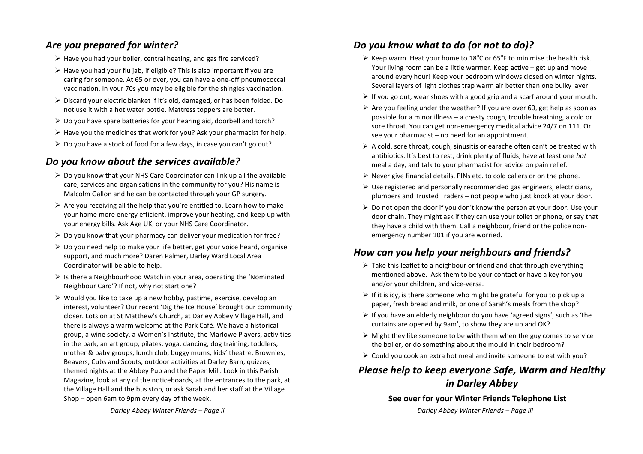## Are you prepared for winter?

- $\triangleright$  Have you had your boiler, central heating, and gas fire serviced?
- $\triangleright$  Have vou had vour flu jab, if eligible? This is also important if you are caring for someone. At 65 or over, you can have a one-off pneumococcal vaccination. In your 70s you may be eligible for the shingles vaccination.
- $\triangleright$  Discard your electric blanket if it's old, damaged, or has been folded. Do not use it with a hot water bottle. Mattress toppers are better.
- $\triangleright$  Do you have spare batteries for your hearing aid, doorbell and torch?
- $\triangleright$  Have you the medicines that work for you? Ask your pharmacist for help.
- $\triangleright$  Do you have a stock of food for a few days, in case you can't go out?

# *Do you know about the services available?*

- $\triangleright$  Do you know that your NHS Care Coordinator can link up all the available care, services and organisations in the community for you? His name is Malcolm Gallon and he can be contacted through your GP surgery.
- $\triangleright$  Are you receiving all the help that you're entitled to. Learn how to make your home more energy efficient, improve your heating, and keep up with your energy bills. Ask Age UK, or your NHS Care Coordinator.
- $\triangleright$  Do you know that your pharmacy can deliver your medication for free?
- $\triangleright$  Do you need help to make your life better, get your voice heard, organise support, and much more? Daren Palmer, Darley Ward Local Area Coordinator will be able to help.
- $\triangleright$  Is there a Neighbourhood Watch in your area, operating the 'Nominated Neighbour Card'? If not, why not start one?
- $\triangleright$  Would you like to take up a new hobby, pastime, exercise, develop an interest, volunteer? Our recent 'Dig the Ice House' brought our community closer. Lots on at St Matthew's Church, at Darley Abbey Village Hall, and there is always a warm welcome at the Park Café. We have a historical group, a wine society, a Women's Institute, the Marlowe Players, activities in the park, an art group, pilates, yoga, dancing, dog training, toddlers, mother & baby groups, lunch club, buggy mums, kids' theatre, Brownies, Beavers, Cubs and Scouts, outdoor activities at Darley Barn, quizzes, themed nights at the Abbey Pub and the Paper Mill. Look in this Parish Magazine, look at any of the noticeboards, at the entrances to the park, at the Village Hall and the bus stop, or ask Sarah and her staff at the Village Shop – open 6am to 9pm every day of the week.

## *Do you know what to do (or not to do)?*

- Exeep warm. Heat your home to 18°C or 65°F to minimise the health risk. Your living room can be a little warmer. Keep active  $-$  get up and move around every hour! Keep your bedroom windows closed on winter nights. Several layers of light clothes trap warm air better than one bulky layer.
- $\triangleright$  If you go out, wear shoes with a good grip and a scarf around your mouth.
- $\triangleright$  Are you feeling under the weather? If you are over 60, get help as soon as possible for a minor illness – a chesty cough, trouble breathing, a cold or sore throat. You can get non-emergency medical advice 24/7 on 111. Or see your pharmacist  $-$  no need for an appointment.
- $\triangleright$  A cold, sore throat, cough, sinusitis or earache often can't be treated with antibiotics. It's best to rest, drink plenty of fluids, have at least one *hot* meal a day, and talk to your pharmacist for advice on pain relief.
- $\triangleright$  Never give financial details. PINs etc. to cold callers or on the phone.
- $\triangleright$  Use registered and personally recommended gas engineers, electricians, plumbers and Trusted Traders – not people who just knock at your door.
- $\triangleright$  Do not open the door if you don't know the person at your door. Use your door chain. They might ask if they can use your toilet or phone, or say that they have a child with them. Call a neighbour, friend or the police nonemergency number 101 if you are worried.

## *How can you help your neighbours and friends?*

- $\triangleright$  Take this leaflet to a neighbour or friend and chat through everything mentioned above. Ask them to be your contact or have a key for you and/or your children, and vice-versa.
- $\triangleright$  If it is icy, is there someone who might be grateful for you to pick up a paper, fresh bread and milk, or one of Sarah's meals from the shop?
- $\triangleright$  If you have an elderly neighbour do you have 'agreed signs', such as 'the curtains are opened by 9am', to show they are up and OK?
- $\triangleright$  Might they like someone to be with them when the guy comes to service the boiler, or do something about the mould in their bedroom?
- $\triangleright$  Could vou cook an extra hot meal and invite someone to eat with you?

# *Please help to keep everyone Safe, Warm and Healthy in Darley Abbey*

#### **See over for your Winter Friends Telephone List**

*Darley Abbey Winter Friends – Page iii*

*Darley Abbey Winter Friends – Page ii*